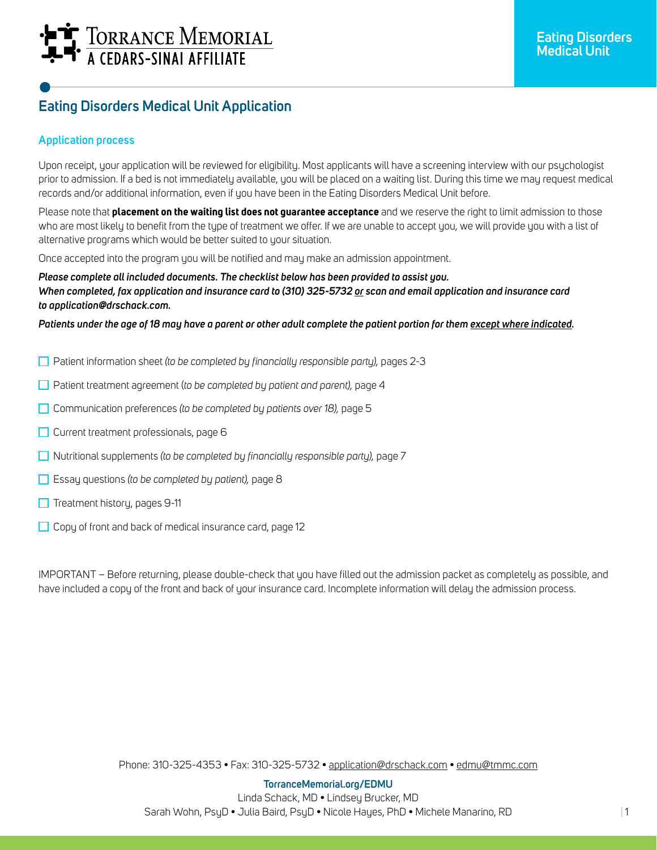# TORRANCE MEMORIAL

## **Eating Disorders Medical Unit Application**

## **Application process**

Upon receipt, your application will be reviewed for eligibility. Most applicants will have a screening interview with our psychologist prior to admission. If a bed is not immediately available, you will be placed on a waiting list. During this time we may request medical records and/or additional information, even if you have been in the Eating Disorders Medical Unit before.

Please note that **placement on the waiting list does not guarantee acceptance** and we reserve the right to limit admission to those who are most likely to benefit from the type of treatment we offer. If we are unable to accept you, we will provide you with a list of alternative programs which would be better suited to your situation.

Once accepted into the program you will be notified and may make an admission appointment.

*Please complete all included documents. The checklist below has been provided to assist you. When completed, fax application and insurance card to (310) 325-5732 or scan and email application and insurance card to application@drschack.com.*

*Patients under the age of 18 may have a parent or other adult complete the patient portion for them except where indicated.*

- Patient information sheet *(to be completed by financially responsible party),* pages 2-3
- Patient treatment agreement (*to be completed by patient and parent),* page 4
- Communication preferences *(to be completed by patients over 18),* page 5
- $\Box$  Current treatment professionals, page 6
- Nutritional supplements *(to be completed by financially responsible party),* page 7
- Essay questions *(to be completed by patient),* page 8
- $\Box$  Treatment history, pages 9-11
- Copy of front and back of medical insurance card, page 12

IMPORTANT – Before returning, please double-check that you have filled out the admission packet as completely as possible, and have included a copy of the front and back of your insurance card. Incomplete information will delay the admission process.

Phone: 310-325-4353 • Fax: 310-325-5732 • application@drschack.com • edmu@tmmc.com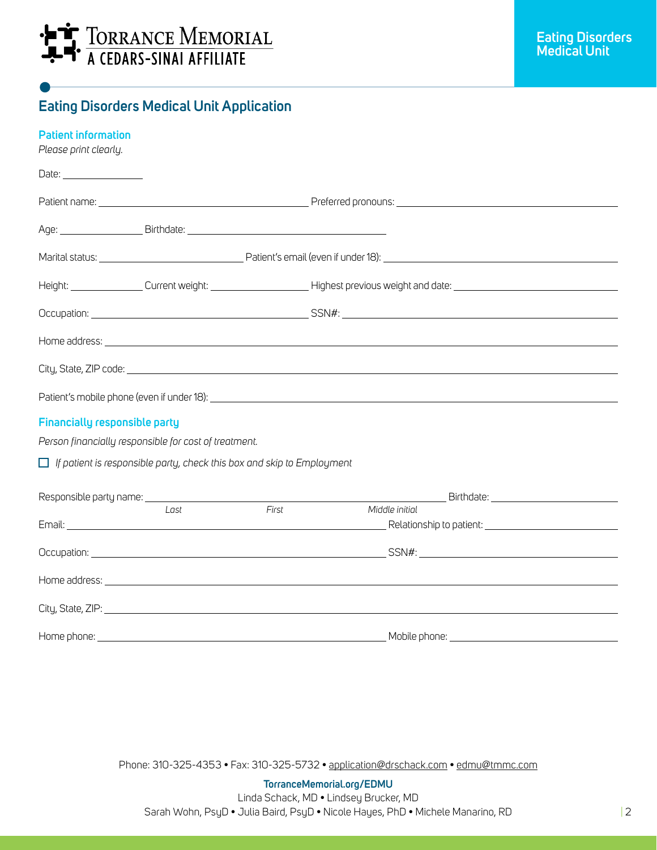

## **Eating Disorders Medical Unit Application**

| <b>Patient information</b><br>Please print clearly. |                                                                               |                                                                                    |                                                                                                                                                                                                                                      |  |
|-----------------------------------------------------|-------------------------------------------------------------------------------|------------------------------------------------------------------------------------|--------------------------------------------------------------------------------------------------------------------------------------------------------------------------------------------------------------------------------------|--|
|                                                     |                                                                               |                                                                                    |                                                                                                                                                                                                                                      |  |
|                                                     |                                                                               |                                                                                    |                                                                                                                                                                                                                                      |  |
|                                                     |                                                                               |                                                                                    |                                                                                                                                                                                                                                      |  |
|                                                     |                                                                               |                                                                                    |                                                                                                                                                                                                                                      |  |
|                                                     |                                                                               | Height: Current weight: Current weight: Network Contract Previous weight and date: |                                                                                                                                                                                                                                      |  |
|                                                     |                                                                               |                                                                                    |                                                                                                                                                                                                                                      |  |
|                                                     |                                                                               |                                                                                    | Home address: <u>example and the contract of the contract of the contract of the contract of the contract of the contract of the contract of the contract of the contract of the contract of the contract of the contract of the</u> |  |
|                                                     |                                                                               |                                                                                    |                                                                                                                                                                                                                                      |  |
|                                                     |                                                                               |                                                                                    |                                                                                                                                                                                                                                      |  |
| <b>Financially responsible party</b>                |                                                                               |                                                                                    |                                                                                                                                                                                                                                      |  |
|                                                     | Person financially responsible for cost of treatment.                         |                                                                                    |                                                                                                                                                                                                                                      |  |
|                                                     | $\Box$ If patient is responsible party, check this box and skip to Employment |                                                                                    |                                                                                                                                                                                                                                      |  |
|                                                     |                                                                               |                                                                                    | <u>Birthdate: Expansion of Birthdate:</u>                                                                                                                                                                                            |  |
|                                                     | Last                                                                          | First                                                                              | Middle initial                                                                                                                                                                                                                       |  |
|                                                     |                                                                               |                                                                                    |                                                                                                                                                                                                                                      |  |
|                                                     |                                                                               |                                                                                    | Home address: <u>example and the second contract of the second contract of the second contract of the second contract of the second contract of the second contract of the second contract of the second contract of the second </u> |  |
|                                                     |                                                                               |                                                                                    |                                                                                                                                                                                                                                      |  |
|                                                     |                                                                               |                                                                                    |                                                                                                                                                                                                                                      |  |

Phone: 310-325-4353 • Fax: 310-325-5732 • application@drschack.com • edmu@tmmc.com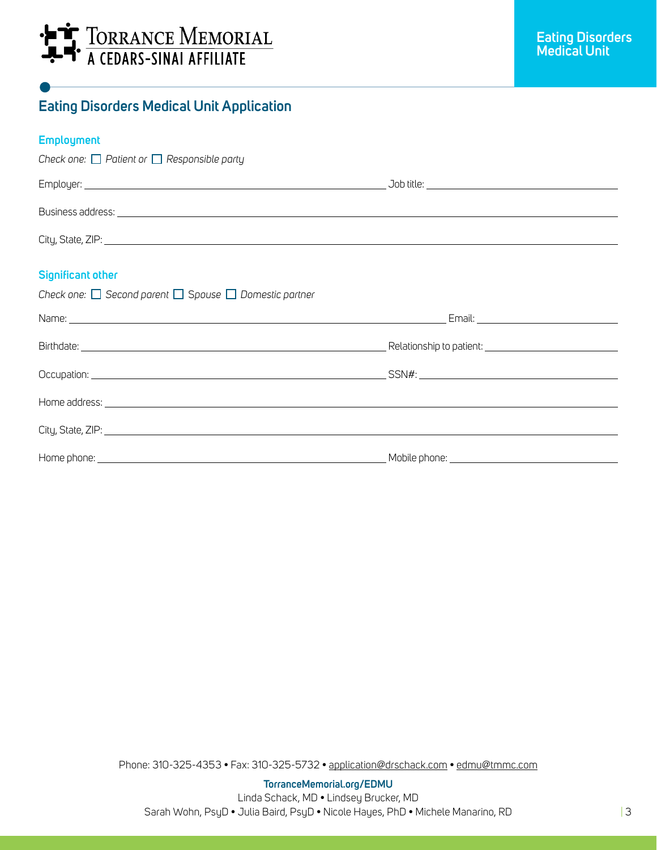

## **Eating Disorders Medical Unit Application**

### **Employment**

| Check one: $\Box$ Patient or $\Box$ Responsible party                 |                                           |  |
|-----------------------------------------------------------------------|-------------------------------------------|--|
|                                                                       |                                           |  |
|                                                                       |                                           |  |
|                                                                       |                                           |  |
| <b>Significant other</b>                                              |                                           |  |
| Check one: $\Box$ Second parent $\Box$ Spouse $\Box$ Domestic partner |                                           |  |
|                                                                       | Email: __________________________________ |  |
|                                                                       |                                           |  |
|                                                                       |                                           |  |
|                                                                       |                                           |  |
|                                                                       |                                           |  |
|                                                                       |                                           |  |

Phone: 310-325-4353 • Fax: 310-325-5732 • application@drschack.com • edmu@tmmc.com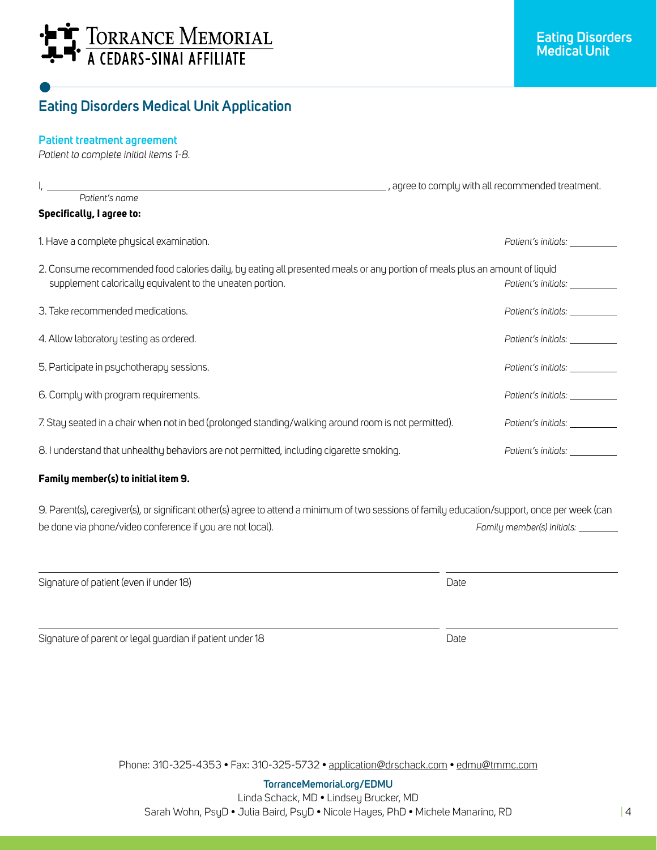# **LE TORRANCE MEMORIAL**

## **Eating Disorders Medical Unit Application**

### **Patient treatment agreement**

*Patient to complete initial items 1-8.*

|                                                                                                                                                                                         | , agree to comply with all recommended treatment. |  |
|-----------------------------------------------------------------------------------------------------------------------------------------------------------------------------------------|---------------------------------------------------|--|
| Patient's name                                                                                                                                                                          |                                                   |  |
| <b>Specifically, I agree to:</b>                                                                                                                                                        |                                                   |  |
| 1. Have a complete physical examination.                                                                                                                                                | Patient's initials:                               |  |
| 2. Consume recommended food calories daily, by eating all presented meals or any portion of meals plus an amount of liquid<br>supplement calorically equivalent to the uneaten portion. | Patient's initials:                               |  |
| 3. Take recommended medications.                                                                                                                                                        | Patient's initials:                               |  |
| 4. Allow laboratory testing as ordered.                                                                                                                                                 | Patient's initials:                               |  |
| 5. Participate in psychotherapy sessions.                                                                                                                                               | Patient's initials:                               |  |
| 6. Comply with program requirements.                                                                                                                                                    | Patient's initials: ___                           |  |
| 7. Stay seated in a chair when not in bed (prolonged standing/walking around room is not permitted).                                                                                    | Patient's initials:                               |  |
| 8. I understand that unhealthy behaviors are not permitted, including cigarette smoking.                                                                                                | Patient's initials:                               |  |
|                                                                                                                                                                                         |                                                   |  |

#### **Family member(s) to initial item 9.**

9. Parent(s), caregiver(s), or significant other(s) agree to attend a minimum of two sessions of family education/support, once per week (can be done via phone/video conference if you are not local). *Family member(s) initials:*

| Signature of patient (even if under 18)                   | Date |  |
|-----------------------------------------------------------|------|--|
| Signature of parent or legal guardian if patient under 18 | Date |  |

Phone: 310-325-4353 • Fax: 310-325-5732 • application@drschack.com • edmu@tmmc.com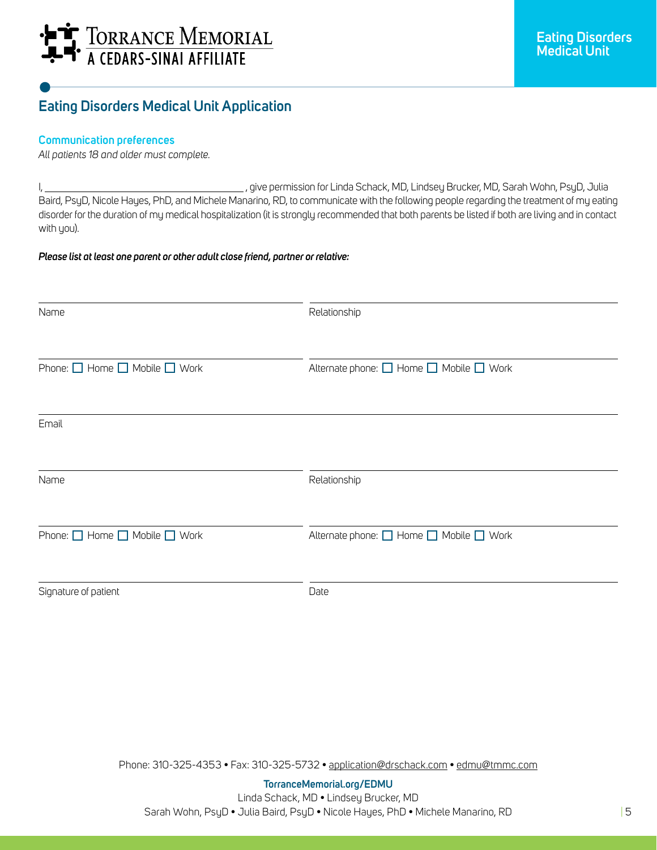# **LE TORRANCE MEMORIAL**

## **Eating Disorders Medical Unit Application**

#### **Communication preferences**

*All patients 18 and older must complete.*

I, , give permission for Linda Schack, MD, Lindsey Brucker, MD, Sarah Wohn, PsyD, Julia Baird, PsyD, Nicole Hayes, PhD, and Michele Manarino, RD, to communicate with the following people regarding the treatment of my eating disorder for the duration of my medical hospitalization (it is strongly recommended that both parents be listed if both are living and in contact with you).

#### *Please list at least one parent or other adult close friend, partner or relative:*

| Name                                         | Relationship                            |
|----------------------------------------------|-----------------------------------------|
| Phone: $\Box$ Home $\Box$ Mobile $\Box$ Work | Alternate phone: □ Home □ Mobile □ Work |
| Email                                        |                                         |
| Name                                         | Relationship                            |
| Phone: $\Box$ Home $\Box$ Mobile $\Box$ Work | Alternate phone: □ Home □ Mobile □ Work |
| Signature of patient                         | Date                                    |

Phone: 310-325-4353 • Fax: 310-325-5732 • application@drschack.com • edmu@tmmc.com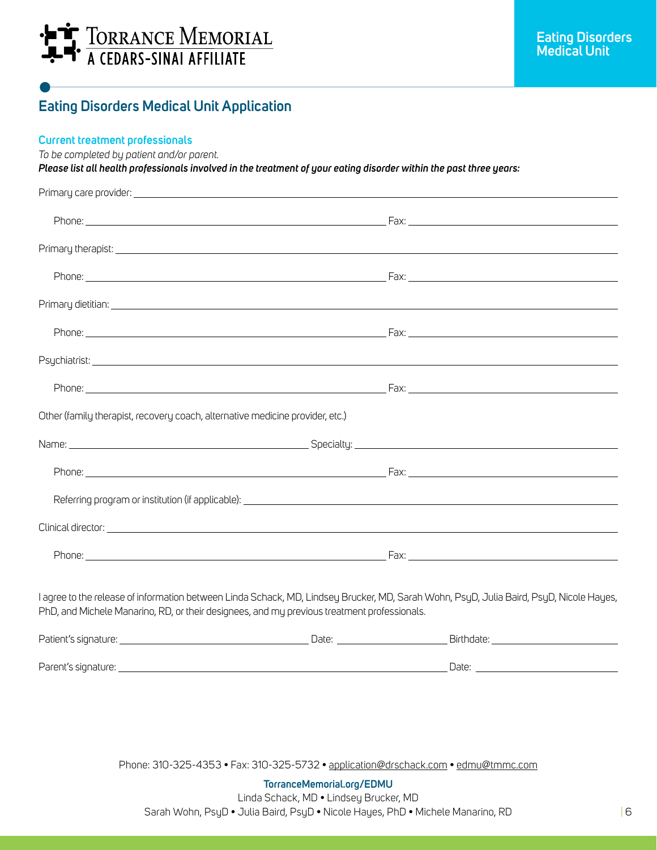

## **Eating Disorders Medical Unit Application**

#### **Current treatment professionals**

*To be completed by patient and/or parent.*

*Please list all health professionals involved in the treatment of your eating disorder within the past three years:*

| I agree to the release of information between Linda Schack, MD, Lindsey Brucker, MD, Sarah Wohn, PsyD, Julia Baird, PsyD, Nicole Hayes,                                                                                              |
|--------------------------------------------------------------------------------------------------------------------------------------------------------------------------------------------------------------------------------------|
|                                                                                                                                                                                                                                      |
|                                                                                                                                                                                                                                      |
| Date: <u>Date: Sale Barbara and Barbara and Barbara and Barbara and Barbara and Barbara and Barbara and Barbara and Barbara and Barbara and Barbara and Barbara and Barbara and Barbara and Barbara and Barbara and Barbara and </u> |
|                                                                                                                                                                                                                                      |

Phone: 310-325-4353 • Fax: 310-325-5732 • application@drschack.com • edmu@tmmc.com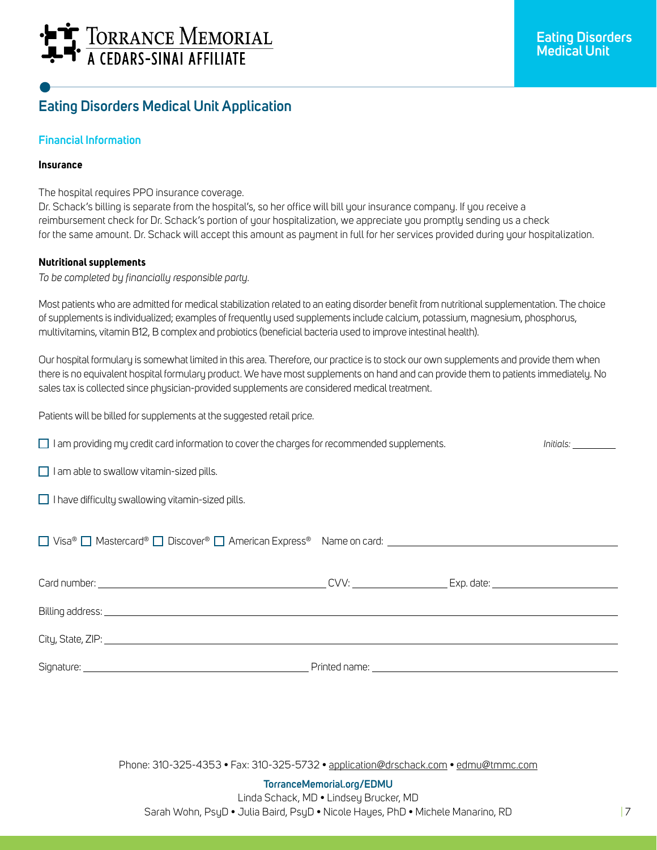# **F** TORRANCE MEMORIAL<br>- - A CEDARS-SINAI AFFILIATE

## **Eating Disorders Medical Unit Application**

### **Financial Information**

#### **Insurance**

The hospital requires PPO insurance coverage.

Dr. Schack's billing is separate from the hospital's, so her office will bill your insurance company. If you receive a reimbursement check for Dr. Schack's portion of your hospitalization, we appreciate you promptly sending us a check for the same amount. Dr. Schack will accept this amount as payment in full for her services provided during your hospitalization.

#### **Nutritional supplements**

*To be completed by financially responsible party.* 

Most patients who are admitted for medical stabilization related to an eating disorder benefit from nutritional supplementation. The choice of supplements is individualized; examples of frequently used supplements include calcium, potassium, magnesium, phosphorus, multivitamins, vitamin B12, B complex and probiotics (beneficial bacteria used to improve intestinal health).

Our hospital formulary is somewhat limited in this area. Therefore, our practice is to stock our own supplements and provide them when there is no equivalent hospital formulary product. We have most supplements on hand and can provide them to patients immediately. No sales tax is collected since physician-provided supplements are considered medical treatment.

Patients will be billed for supplements at the suggested retail price.

| $\Box$ I am providing my credit card information to cover the charges for recommended supplements. |               | Initials: <b>Alice 1999</b> |
|----------------------------------------------------------------------------------------------------|---------------|-----------------------------|
| $\Box$ I am able to swallow vitamin-sized pills.                                                   |               |                             |
| $\Box$ I have difficulty swallowing vitamin-sized pills.                                           |               |                             |
|                                                                                                    |               |                             |
|                                                                                                    |               |                             |
|                                                                                                    |               |                             |
|                                                                                                    |               |                             |
| Signature:                                                                                         | Printed name: |                             |

Phone: 310-325-4353 • Fax: 310-325-5732 • application@drschack.com • edmu@tmmc.com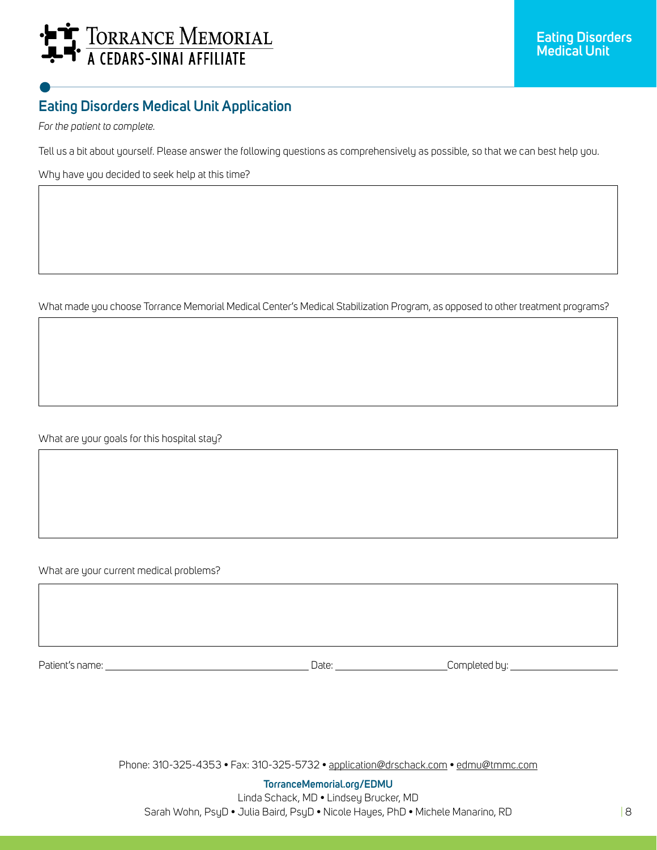# **F** TORRANCE MEMORIAL<br>- A CEDARS-SINAL AFFILIATE

# **Eating Disorders Medical Unit Application**

*For the patient to complete.*

 $\overline{\phantom{a}}$ 

L

 $\overline{\phantom{a}}$ 

L

 $\overline{\phantom{a}}$ 

L

 $\overline{\phantom{a}}$ 

Tell us a bit about yourself. Please answer the following questions as comprehensively as possible, so that we can best help you.

Why have you decided to seek help at this time?

What made you choose Torrance Memorial Medical Center's Medical Stabilization Program, as opposed to other treatment programs?

What are your goals for this hospital stay?

What are your current medical problems?

Patient's name: Date: Completed by:

Phone: 310-325-4353 • Fax: 310-325-5732 • application@drschack.com • edmu@tmmc.com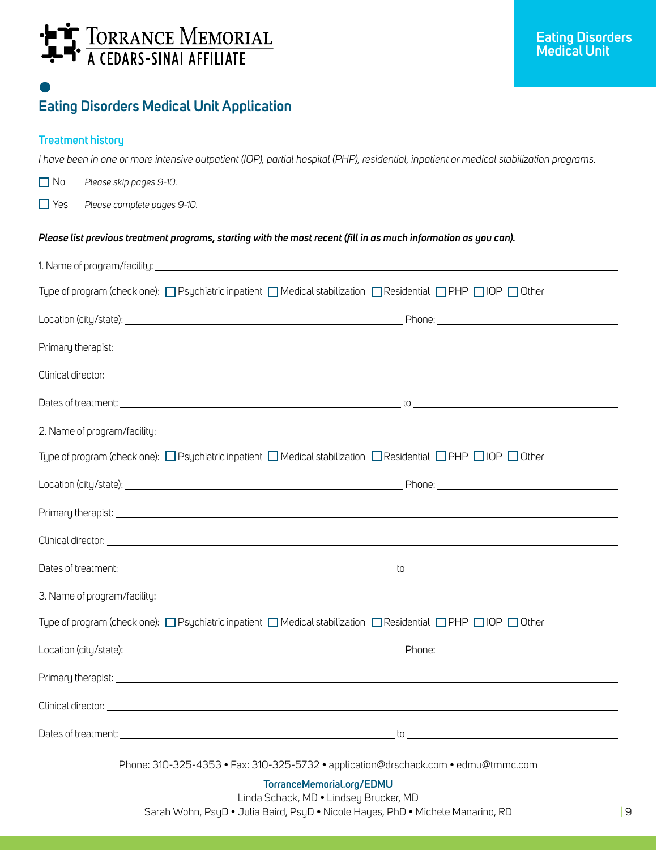# HIT TORRANCE MEMORIAL

## **Eating Disorders Medical Unit Application**

### **Treatment history**

*I have been in one or more intensive outpatient (IOP), partial hospital (PHP), residential, inpatient or medical stabilization programs.*

No *Please skip pages 9-10.*

Yes *Please complete pages 9-10.* 

#### *Please list previous treatment programs, starting with the most recent (fill in as much information as you can).*

| Type of program (check one): $\Box$ Psychiatric inpatient $\Box$ Medical stabilization $\Box$ Residential $\Box$ PHP $\Box$ IOP $\Box$ Other |
|----------------------------------------------------------------------------------------------------------------------------------------------|
|                                                                                                                                              |
|                                                                                                                                              |
|                                                                                                                                              |
|                                                                                                                                              |
|                                                                                                                                              |
| Type of program (check one): □ Psychiatric inpatient □ Medical stabilization □ Residential □ PHP □ IOP □ Other                               |
|                                                                                                                                              |
|                                                                                                                                              |
|                                                                                                                                              |
|                                                                                                                                              |
|                                                                                                                                              |
| Type of program (check one): $\Box$ Psychiatric inpatient $\Box$ Medical stabilization $\Box$ Residential $\Box$ PHP $\Box$ IOP $\Box$ Other |
|                                                                                                                                              |
|                                                                                                                                              |
| Clinical director: www.assetting.com/www.assetting.com/www.assetting.com/www.assetting.com/www.asset                                         |
|                                                                                                                                              |
| Phone: 310-325-4353 • Fax: 310-325-5732 • application@drschack.com • edmu@tmmc.com                                                           |
| TorranceMemorial.org/EDMU                                                                                                                    |
| Linda Schack, MD . Lindsey Brucker, MD                                                                                                       |

Sarah Wohn, PsyD • Julia Baird, PsyD • Nicole Hayes, PhD • Michele Manarino, RD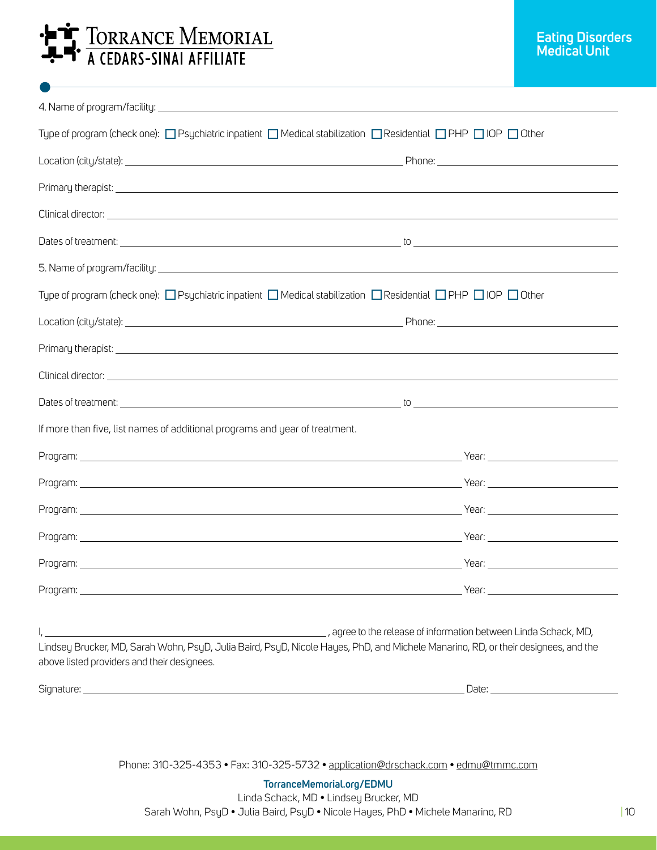# **A TORRANCE MEMORIAL**

| Type of program (check one): □ Psychiatric inpatient □ Medical stabilization □ Residential □ PHP □ IOP □ Other                                                                                                                 |                                                                                                                                                                                                                                      |
|--------------------------------------------------------------------------------------------------------------------------------------------------------------------------------------------------------------------------------|--------------------------------------------------------------------------------------------------------------------------------------------------------------------------------------------------------------------------------------|
|                                                                                                                                                                                                                                |                                                                                                                                                                                                                                      |
|                                                                                                                                                                                                                                |                                                                                                                                                                                                                                      |
|                                                                                                                                                                                                                                |                                                                                                                                                                                                                                      |
|                                                                                                                                                                                                                                |                                                                                                                                                                                                                                      |
|                                                                                                                                                                                                                                |                                                                                                                                                                                                                                      |
| Type of program (check one): $\Box$ Psychiatric inpatient $\Box$ Medical stabilization $\Box$ Residential $\Box$ PHP $\Box$ IOP $\Box$ Other                                                                                   |                                                                                                                                                                                                                                      |
|                                                                                                                                                                                                                                |                                                                                                                                                                                                                                      |
|                                                                                                                                                                                                                                |                                                                                                                                                                                                                                      |
|                                                                                                                                                                                                                                |                                                                                                                                                                                                                                      |
|                                                                                                                                                                                                                                |                                                                                                                                                                                                                                      |
| If more than five, list names of additional programs and year of treatment.                                                                                                                                                    |                                                                                                                                                                                                                                      |
|                                                                                                                                                                                                                                |                                                                                                                                                                                                                                      |
|                                                                                                                                                                                                                                |                                                                                                                                                                                                                                      |
| Program: New Year: New Year: New Year: New Year: New Year: New Year: New Year: New Year: New Year: New Year: New Year: New Year: New Year: New Year: New Year: New Year: New Year: New Year: New Year: New Year: New Year: New |                                                                                                                                                                                                                                      |
|                                                                                                                                                                                                                                |                                                                                                                                                                                                                                      |
|                                                                                                                                                                                                                                |                                                                                                                                                                                                                                      |
| Program: 2008 - 2008 - 2008 - 2009 - 2010 - 2010 - 2010 - 2010 - 2010 - 2010 - 2010 - 2010 - 2010 - 2010 - 201                                                                                                                 | $Year:$ Year:                                                                                                                                                                                                                        |
| Lindsey Brucker, MD, Sarah Wohn, PsyD, Julia Baird, PsyD, Nicole Hayes, PhD, and Michele Manarino, RD, or their designees, and the<br>above listed providers and their designees.                                              | agree to the release of information between Linda Schack, MD, والمستخدم المنافسين المستخدم المستخدم المستخدم المستخدم المستخدم المستخدم                                                                                              |
|                                                                                                                                                                                                                                | Date: <u>Date: Sale and Sale and Sale and Sale and Sale and Sale and Sale and Sale and Sale and Sale and Sale and Sale and Sale and Sale and Sale and Sale and Sale and Sale and Sale and Sale and Sale and Sale and Sale and Sa</u> |

Phone: 310-325-4353 • Fax: 310-325-5732 • application@drschack.com • edmu@tmmc.com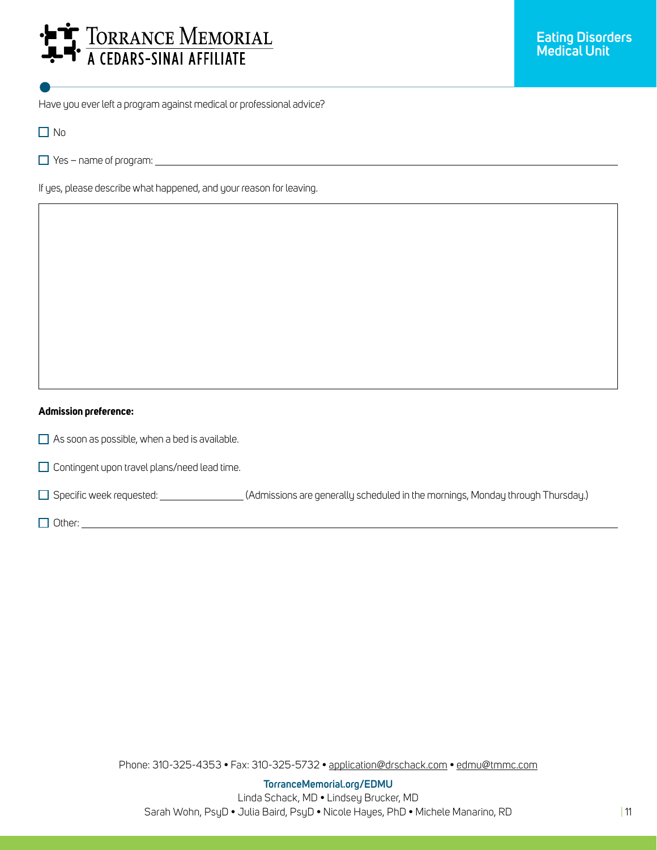# **AT TORRANCE MEMORIAL**<br>**- F** A CEDARS-SINAI AFFILIATE

Have you ever left a program against medical or professional advice?

□ No

 $\overline{\phantom{a}}$ 

Yes – name of program:

If yes, please describe what happened, and your reason for leaving.

#### **Admission preference:**

 $\Box$  As soon as possible, when a bed is available.

 $\Box$  Contingent upon travel plans/need lead time.

Specific week requested: (Admissions are generally scheduled in the mornings, Monday through Thursday.)

Other: contract the contract of the contract of the contract of the contract of the contract of the contract of the contract of the contract of the contract of the contract of the contract of the contract of the contract o

Phone: 310-325-4353 • Fax: 310-325-5732 • application@drschack.com • edmu@tmmc.com